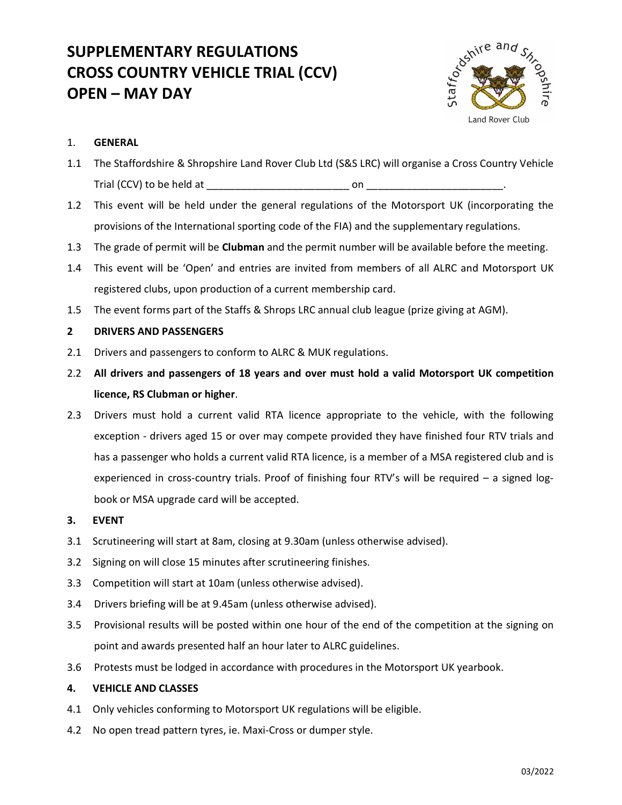# SUPPLEMENTARY REGULATIONS CROSS COUNTRY VEHICLE TRIAL (CCV) OPEN – MAY DAY



### 1. GENERAL

- 1.1 The Staffordshire & Shropshire Land Rover Club Ltd (S&S LRC) will organise a Cross Country Vehicle Trial (CCV) to be held at \_\_\_\_\_\_\_\_\_\_\_\_\_\_\_\_\_\_\_\_\_\_\_\_\_ on \_\_\_\_\_\_\_\_\_\_\_\_\_\_\_\_\_\_\_\_\_\_\_\_.
- 1.2 This event will be held under the general regulations of the Motorsport UK (incorporating the provisions of the International sporting code of the FIA) and the supplementary regulations.
- 1.3 The grade of permit will be **Clubman** and the permit number will be available before the meeting.
- 1.4 This event will be 'Open' and entries are invited from members of all ALRC and Motorsport UK registered clubs, upon production of a current membership card.
- 1.5 The event forms part of the Staffs & Shrops LRC annual club league (prize giving at AGM).

#### 2 DRIVERS AND PASSENGERS

- 2.1 Drivers and passengers to conform to ALRC & MUK regulations.
- 2.2 All drivers and passengers of 18 years and over must hold a valid Motorsport UK competition licence, RS Clubman or higher.
- 2.3 Drivers must hold a current valid RTA licence appropriate to the vehicle, with the following exception - drivers aged 15 or over may compete provided they have finished four RTV trials and has a passenger who holds a current valid RTA licence, is a member of a MSA registered club and is experienced in cross-country trials. Proof of finishing four RTV's will be required – a signed logbook or MSA upgrade card will be accepted.
- 3. EVENT
- 3.1 Scrutineering will start at 8am, closing at 9.30am (unless otherwise advised).
- 3.2 Signing on will close 15 minutes after scrutineering finishes.
- 3.3 Competition will start at 10am (unless otherwise advised).
- 3.4 Drivers briefing will be at 9.45am (unless otherwise advised).
- 3.5 Provisional results will be posted within one hour of the end of the competition at the signing on point and awards presented half an hour later to ALRC guidelines.
- 3.6 Protests must be lodged in accordance with procedures in the Motorsport UK yearbook.

#### 4. VEHICLE AND CLASSES

- 4.1 Only vehicles conforming to Motorsport UK regulations will be eligible.
- 4.2 No open tread pattern tyres, ie. Maxi-Cross or dumper style.